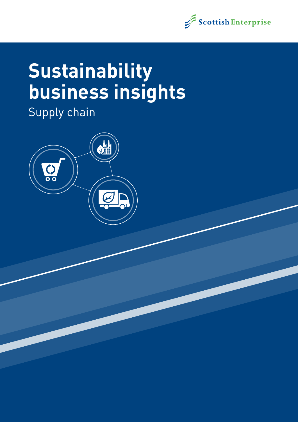

# **Sustainability business insights**

Supply chain

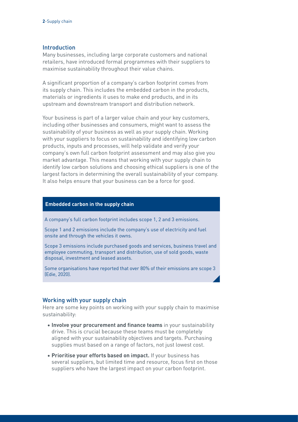## Introduction

Many businesses, including large corporate customers and national retailers, have introduced formal programmes with their suppliers to maximise sustainability throughout their value chains.

A significant proportion of a company's carbon footprint comes from its supply chain. This includes the embedded carbon in the products, materials or ingredients it uses to make end products, and in its upstream and downstream transport and distribution network.

Your business is part of a larger value chain and your key customers, including other businesses and consumers, might want to assess the sustainability of your business as well as your supply chain. Working with your suppliers to focus on sustainability and identifying low carbon products, inputs and processes, will help validate and verify your company's own full carbon footprint assessment and may also give you market advantage. This means that working with your supply chain to identify low carbon solutions and choosing ethical suppliers is one of the largest factors in determining the overall sustainability of your company. It also helps ensure that your business can be a force for good.

#### **Embedded carbon in the supply chain**

A company's full carbon footprint includes scope 1, 2 and 3 emissions.

Scope 1 and 2 emissions include the company's use of electricity and fuel onsite and through the vehicles it owns.

Scope 3 emissions include purchased goods and services, business travel and employee commuting, transport and distribution, use of sold goods, waste disposal, investment and leased assets.

Some organisations have reported that over 80% of their emissions are scope 3 (Edie, 2020).

## Working with your supply chain

Here are some key points on working with your supply chain to maximise sustainability:

- **Involve your procurement and finance teams** in your sustainability drive. This is crucial because these teams must be completely aligned with your sustainability objectives and targets. Purchasing supplies must based on a range of factors, not just lowest cost.
- **Prioritise your efforts based on impact.** If your business has several suppliers, but limited time and resource, focus first on those suppliers who have the largest impact on your carbon footprint.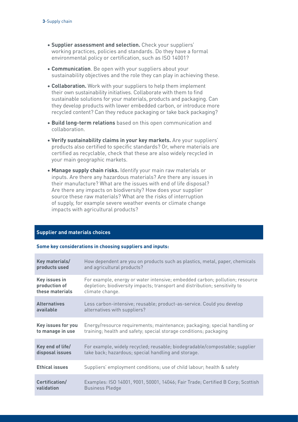- **Supplier assessment and selection.** Check your suppliers' working practices, policies and standards. Do they have a formal environmental policy or certification, such as ISO 14001?
- **Communication**. Be open with your suppliers about your sustainability objectives and the role they can play in achieving these.
- **Collaboration.** Work with your suppliers to help them implement their own sustainability initiatives. Collaborate with them to find sustainable solutions for your materials, products and packaging. Can they develop products with lower embedded carbon, or introduce more recycled content? Can they reduce packaging or take back packaging?
- **Build long-term relations** based on this open communication and collaboration.
- **Verify sustainability claims in your key markets.** Are your suppliers' products also certified to specific standards? Or, where materials are certified as recyclable, check that these are also widely recycled in your main geographic markets.
- **Manage supply chain risks.** Identify your main raw materials or inputs. Are there any hazardous materials? Are there any issues in their manufacture? What are the issues with end of life disposal? Are there any impacts on biodiversity? How does your supplier source these raw materials? What are the risks of interruption of supply, for example severe weather events or climate change impacts with agricultural products?

# **Supplier and materials choices**

#### **Some key considerations in choosing suppliers and inputs:**

| Key materials/        | How dependent are you on products such as plastics, metal, paper, chemicals     |
|-----------------------|---------------------------------------------------------------------------------|
| products used         | and agricultural products?                                                      |
| Key issues in         | For example, energy or water intensive; embedded carbon; pollution; resource    |
| production of         | depletion; biodiversity impacts; transport and distribution; sensitivity to     |
| these materials       | climate change.                                                                 |
| <b>Alternatives</b>   | Less carbon-intensive; reusable; product-as-service. Could you develop          |
| available             | alternatives with suppliers?                                                    |
| Key issues for you    | Energy/resource requirements; maintenance; packaging; special handling or       |
| to manage in use      | training; health and safety; special storage conditions; packaging              |
| Key end of life/      | For example, widely recycled; reusable; biodegradable/compostable; supplier     |
| disposal issues       | take back; hazardous; special handling and storage.                             |
| <b>Ethical issues</b> | Suppliers' employment conditions; use of child labour; health & safety          |
| Certification/        | Examples: ISO 14001, 9001, 50001, 14046; Fair Trade; Certified B Corp; Scottish |
| validation            | <b>Business Pledge</b>                                                          |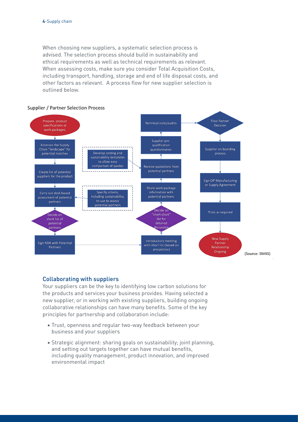When choosing new suppliers, a systematic selection process is advised. The selection process should build in sustainability and ethical requirements as well as technical requirements as relevant. When assessing costs, make sure you consider Total Acquisition Costs, including transport, handling, storage and end of life disposal costs, and other factors as relevant. A process flow for new supplier selection is outlined below.

### **Supplier / Partner Selection Process**



# Collaborating with suppliers

Your suppliers can be the key to identifying low carbon solutions for the products and services your business provides. Having selected a new supplier, or in working with existing suppliers, building ongoing collaborative relationships can have many benefits. Some of the key principles for partnership and collaboration include:

- Trust, openness and regular two-way feedback between your business and your suppliers
- Strategic alignment: sharing goals on sustainability; joint planning, and setting out targets together can have mutual benefits, including quality management, product innovation, and improved environmental impact